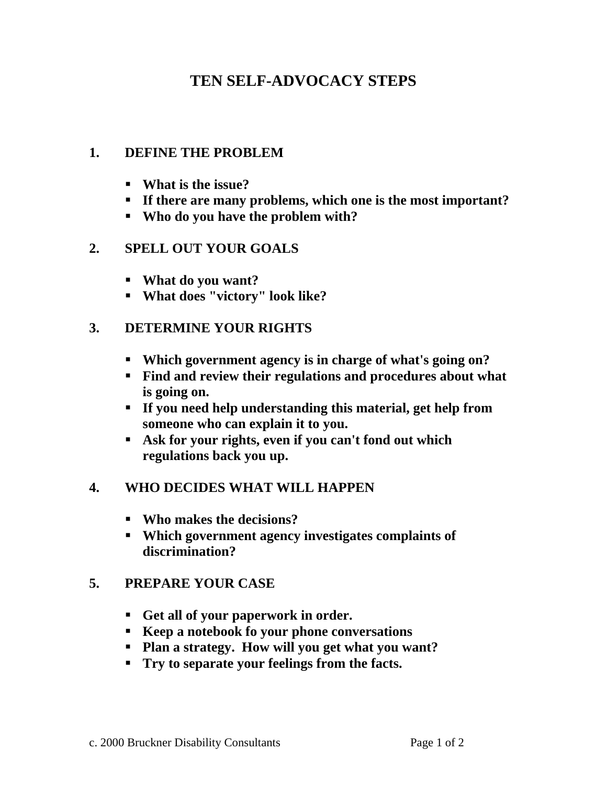## **TEN SELF-ADVOCACY STEPS**

#### **1. DEFINE THE PROBLEM**

- **What is the issue?**
- **If there are many problems, which one is the most important?**
- **Who do you have the problem with?**

#### **2. SPELL OUT YOUR GOALS**

- **What do you want?**
- **What does "victory" look like?**

### **3. DETERMINE YOUR RIGHTS**

- **Which government agency is in charge of what's going on?**
- **Find and review their regulations and procedures about what is going on.**
- **If you need help understanding this material, get help from someone who can explain it to you.**
- **Ask for your rights, even if you can't fond out which regulations back you up.**

### **4. WHO DECIDES WHAT WILL HAPPEN**

- **Who makes the decisions?**
- **Which government agency investigates complaints of discrimination?**

### **5. PREPARE YOUR CASE**

- **Get all of your paperwork in order.**
- **Keep a notebook fo your phone conversations**
- **Plan a strategy. How will you get what you want?**
- **Try to separate your feelings from the facts.**